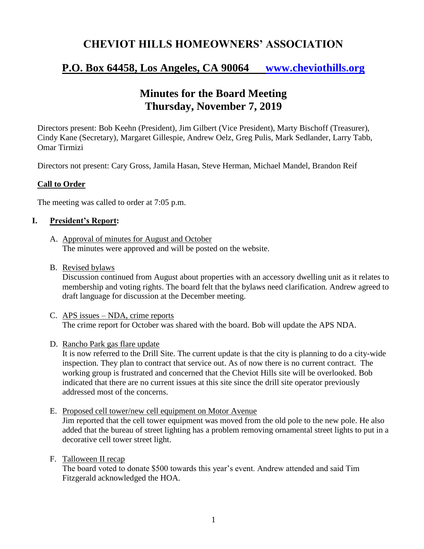# **CHEVIOT HILLS HOMEOWNERS' ASSOCIATION**

# **P.O. Box 64458, Los Angeles, CA 90064 [www.cheviothills.org](http://www.cheviothills.org/)**

# **Minutes for the Board Meeting Thursday, November 7, 2019**

Directors present: Bob Keehn (President), Jim Gilbert (Vice President), Marty Bischoff (Treasurer), Cindy Kane (Secretary), Margaret Gillespie, Andrew Oelz, Greg Pulis, Mark Sedlander, Larry Tabb, Omar Tirmizi

Directors not present: Cary Gross, Jamila Hasan, Steve Herman, Michael Mandel, Brandon Reif

### **Call to Order**

The meeting was called to order at 7:05 p.m.

### **I. President's Report:**

- A. Approval of minutes for August and October The minutes were approved and will be posted on the website.
- B. Revised bylaws

Discussion continued from August about properties with an accessory dwelling unit as it relates to membership and voting rights. The board felt that the bylaws need clarification. Andrew agreed to draft language for discussion at the December meeting.

- C. APS issues NDA, crime reports The crime report for October was shared with the board. Bob will update the APS NDA.
- D. Rancho Park gas flare update

It is now referred to the Drill Site. The current update is that the city is planning to do a city-wide inspection. They plan to contract that service out. As of now there is no current contract. The working group is frustrated and concerned that the Cheviot Hills site will be overlooked. Bob indicated that there are no current issues at this site since the drill site operator previously addressed most of the concerns.

E. Proposed cell tower/new cell equipment on Motor Avenue

Jim reported that the cell tower equipment was moved from the old pole to the new pole. He also added that the bureau of street lighting has a problem removing ornamental street lights to put in a decorative cell tower street light.

F. Talloween II recap

The board voted to donate \$500 towards this year's event. Andrew attended and said Tim Fitzgerald acknowledged the HOA.